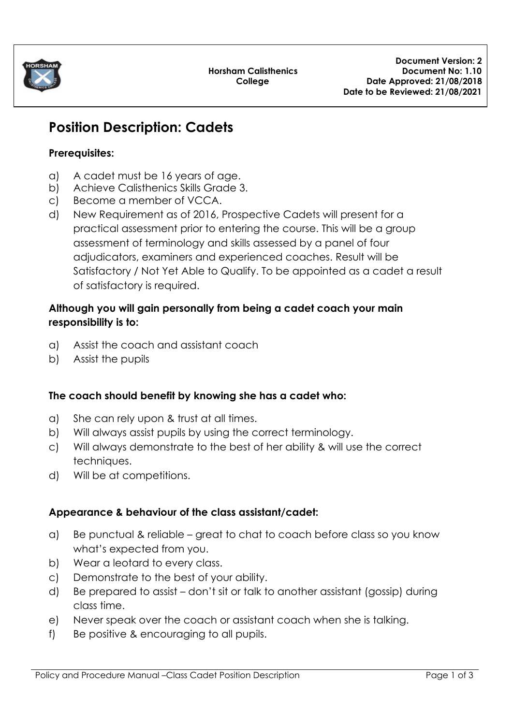

# **Position Description: Cadets**

# **Prerequisites:**

- a) A cadet must be 16 years of age.
- b) Achieve Calisthenics Skills Grade 3.
- c) Become a member of VCCA.
- d) New Requirement as of 2016, Prospective Cadets will present for a practical assessment prior to entering the course. This will be a group assessment of terminology and skills assessed by a panel of four adjudicators, examiners and experienced coaches. Result will be Satisfactory / Not Yet Able to Qualify. To be appointed as a cadet a result of satisfactory is required.

# **Although you will gain personally from being a cadet coach your main responsibility is to:**

- a) Assist the coach and assistant coach
- b) Assist the pupils

# **The coach should benefit by knowing she has a cadet who:**

- a) She can rely upon & trust at all times.
- b) Will always assist pupils by using the correct terminology.
- c) Will always demonstrate to the best of her ability & will use the correct techniques.
- d) Will be at competitions.

# **Appearance & behaviour of the class assistant/cadet:**

- a) Be punctual & reliable great to chat to coach before class so you know what's expected from you.
- b) Wear a leotard to every class.
- c) Demonstrate to the best of your ability.
- d) Be prepared to assist don't sit or talk to another assistant (gossip) during class time.
- e) Never speak over the coach or assistant coach when she is talking.
- f) Be positive & encouraging to all pupils.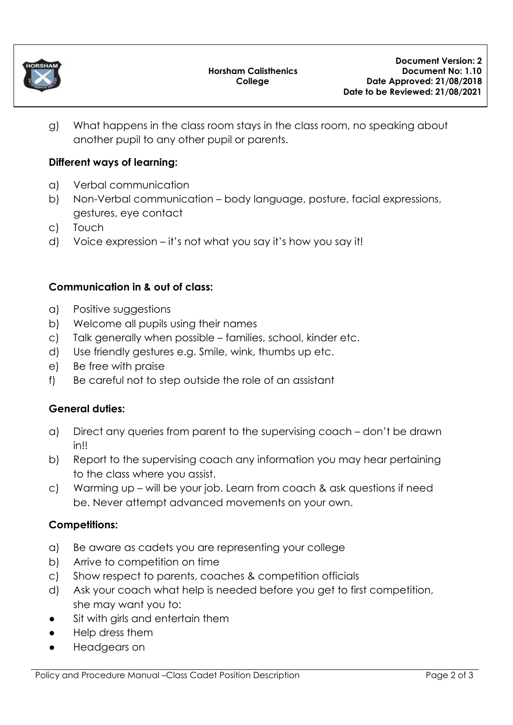

g) What happens in the class room stays in the class room, no speaking about another pupil to any other pupil or parents.

## **Different ways of learning:**

- a) Verbal communication
- b) Non-Verbal communication body language, posture, facial expressions, gestures, eye contact
- c) Touch
- d) Voice expression it's not what you say it's how you say it!

### **Communication in & out of class:**

- a) Positive suggestions
- b) Welcome all pupils using their names
- c) Talk generally when possible families, school, kinder etc.
- d) Use friendly gestures e.g. Smile, wink, thumbs up etc.
- e) Be free with praise
- f) Be careful not to step outside the role of an assistant

#### **General duties:**

- a) Direct any queries from parent to the supervising coach don't be drawn in!!
- b) Report to the supervising coach any information you may hear pertaining to the class where you assist.
- c) Warming up will be your job. Learn from coach & ask questions if need be. Never attempt advanced movements on your own.

#### **Competitions:**

- a) Be aware as cadets you are representing your college
- b) Arrive to competition on time
- c) Show respect to parents, coaches & competition officials
- d) Ask your coach what help is needed before you get to first competition, she may want you to:
- Sit with girls and entertain them
- Help dress them
- Headgears on